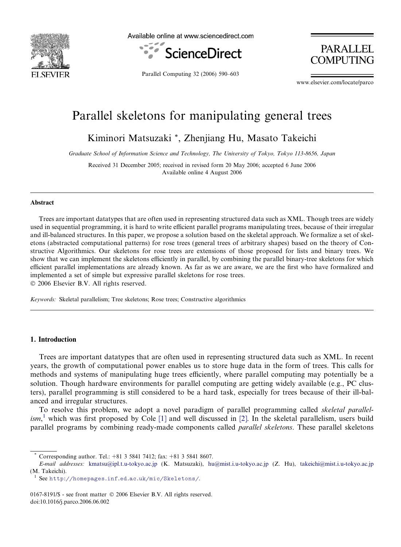

Available online at www.sciencedirect.com



Parallel Computing 32 (2006) 590–603

**PARALLEL COMPUTING** 

www.elsevier.com/locate/parco

# Parallel skeletons for manipulating general trees

Kiminori Matsuzaki \*, Zhenjiang Hu, Masato Takeichi

Graduate School of Information Science and Technology, The University of Tokyo, Tokyo 113-8656, Japan

Received 31 December 2005; received in revised form 20 May 2006; accepted 6 June 2006 Available online 4 August 2006

## Abstract

Trees are important datatypes that are often used in representing structured data such as XML. Though trees are widely used in sequential programming, it is hard to write efficient parallel programs manipulating trees, because of their irregular and ill-balanced structures. In this paper, we propose a solution based on the skeletal approach. We formalize a set of skeletons (abstracted computational patterns) for rose trees (general trees of arbitrary shapes) based on the theory of Constructive Algorithmics. Our skeletons for rose trees are extensions of those proposed for lists and binary trees. We show that we can implement the skeletons efficiently in parallel, by combining the parallel binary-tree skeletons for which efficient parallel implementations are already known. As far as we are aware, we are the first who have formalized and implemented a set of simple but expressive parallel skeletons for rose trees.

© 2006 Elsevier B.V. All rights reserved.

Keywords: Skeletal parallelism; Tree skeletons; Rose trees; Constructive algorithmics

# 1. Introduction

Trees are important datatypes that are often used in representing structured data such as XML. In recent years, the growth of computational power enables us to store huge data in the form of trees. This calls for methods and systems of manipulating huge trees efficiently, where parallel computing may potentially be a solution. Though hardware environments for parallel computing are getting widely available (e.g., PC clusters), parallel programming is still considered to be a hard task, especially for trees because of their ill-balanced and irregular structures.

To resolve this problem, we adopt a novel paradigm of parallel programming called *skeletal parallel-*ism,<sup>1</sup> which was first proposed by Cole [\[1\]](#page-12-0) and well discussed in [\[2\].](#page-12-0) In the skeletal parallelism, users build parallel programs by combining ready-made components called parallel skeletons. These parallel skeletons

Corresponding author. Tel.: +81 3 5841 7412; fax: +81 3 5841 8607.

E-mail addresses: [kmatsu@ipl.t.u-tokyo.ac.jp](mailto:kmatsu@ipl.t.u-tokyo.ac.jp) (K. Matsuzaki), [hu@mist.i.u-tokyo.ac.jp](mailto:hu@mist.i.u-tokyo.ac.jp) (Z. Hu), [takeichi@mist.i.u-tokyo.ac.jp](mailto:takeichi@mist.i.u-tokyo.ac.jp) (M. Takeichi).

See <http://homepages.inf.ed.ac.uk/mic/Skeletons/>.

<sup>0167-8191/\$ -</sup> see front matter © 2006 Elsevier B.V. All rights reserved. doi:10.1016/j.parco.2006.06.002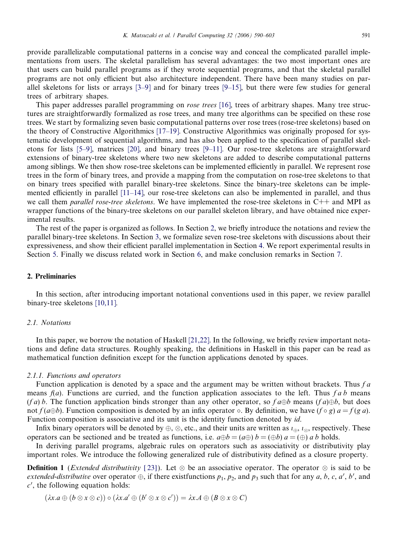provide parallelizable computational patterns in a concise way and conceal the complicated parallel implementations from users. The skeletal parallelism has several advantages: the two most important ones are that users can build parallel programs as if they wrote sequential programs, and that the skeletal parallel programs are not only efficient but also architecture independent. There have been many studies on parallel skeletons for lists or arrays [\[3–9\]](#page-12-0) and for binary trees [\[9–15\]](#page-13-0), but there were few studies for general trees of arbitrary shapes.

This paper addresses parallel programming on *rose trees* [\[16\]](#page-13-0), trees of arbitrary shapes. Many tree structures are straightforwardly formalized as rose trees, and many tree algorithms can be specified on these rose trees. We start by formalizing seven basic computational patterns over rose trees (rose-tree skeletons) based on the theory of Constructive Algorithmics [\[17–19\].](#page-13-0) Constructive Algorithmics was originally proposed for systematic development of sequential algorithms, and has also been applied to the specification of parallel skeletons for lists [\[5–9\],](#page-12-0) matrices [\[20\],](#page-13-0) and binary trees [\[9–11\]](#page-13-0). Our rose-tree skeletons are straightforward extensions of binary-tree skeletons where two new skeletons are added to describe computational patterns among siblings. We then show rose-tree skeletons can be implemented efficiently in parallel. We represent rose trees in the form of binary trees, and provide a mapping from the computation on rose-tree skeletons to that on binary trees specified with parallel binary-tree skeletons. Since the binary-tree skeletons can be implemented efficiently in parallel [\[11–14\]](#page-13-0), our rose-tree skeletons can also be implemented in parallel, and thus we call them *parallel rose-tree skeletons*. We have implemented the rose-tree skeletons in  $C++$  and MPI as wrapper functions of the binary-tree skeletons on our parallel skeleton library, and have obtained nice experimental results.

The rest of the paper is organized as follows. In Section 2, we briefly introduce the notations and review the parallel binary-tree skeletons. In Section [3,](#page-4-0) we formalize seven rose-tree skeletons with discussions about their expressiveness, and show their efficient parallel implementation in Section [4.](#page-7-0) We report experimental results in Section [5](#page-11-0). Finally we discuss related work in Section [6,](#page-11-0) and make conclusion remarks in Section [7.](#page-12-0)

## 2. Preliminaries

In this section, after introducing important notational conventions used in this paper, we review parallel binary-tree skeletons [\[10,11\]](#page-13-0).

# 2.1. Notations

In this paper, we borrow the notation of Haskell [\[21,22\]](#page-13-0). In the following, we briefly review important notations and define data structures. Roughly speaking, the definitions in Haskell in this paper can be read as mathematical function definition except for the function applications denoted by spaces.

#### 2.1.1. Functions and operators

Function application is denoted by a space and the argument may be written without brackets. Thus f a means  $f(a)$ . Functions are curried, and the function application associates to the left. Thus fab means (f a) b. The function application binds stronger than any other operator, so  $f \cdot a \oplus b$  means  $(f \cdot a) \oplus b$ , but does not  $f(a \oplus b)$ . Function composition is denoted by an infix operator  $\circ$ . By definition, we have  $(f \circ g)$   $a = f(g a)$ . Function composition is associative and its unit is the identity function denoted by id.

Infix binary operators will be denoted by  $\oplus$ ,  $\otimes$ , etc., and their units are written as  $i_{\oplus}$ ,  $i_{\otimes}$ , respectively. These operators can be sectioned and be treated as functions, i.e.  $a \oplus b = (a \oplus b)$   $b = (\oplus b)$   $a = (\oplus)$  a b holds.

In deriving parallel programs, algebraic rules on operators such as associativity or distributivity play important roles. We introduce the following generalized rule of distributivity defined as a closure property.

**Definition 1** (*Extended distributivity* [\[23\]](#page-13-0)). Let  $\otimes$  be an associative operator. The operator  $\otimes$  is said to be extended-distributive over operator  $\oplus$ , if there exist functions  $p_1, p_2$ , and  $p_3$  such that for any a, b, c, a', b', and  $c'$ , the following equation holds:

$$
(\lambda x.a \oplus (b \otimes x \otimes c)) \circ (\lambda x.a' \oplus (b' \otimes x \otimes c')) = \lambda x.A \oplus (B \otimes x \otimes C)
$$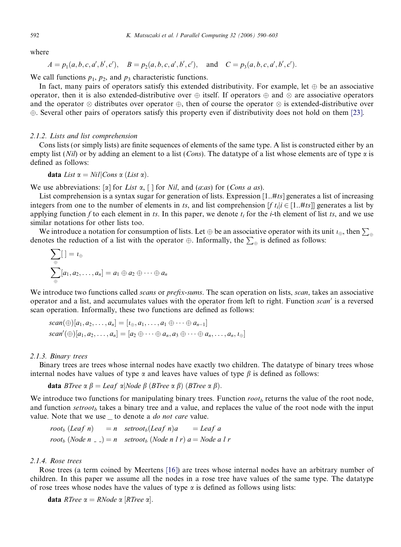where

 $A = p_1(a, b, c, a', b', c'), B = p_2(a, b, c, a', b', c'), \text{and } C = p_3(a, b, c, a', b', c').$ 

We call functions  $p_1$ ,  $p_2$ , and  $p_3$  characteristic functions.

In fact, many pairs of operators satisfy this extended distributivity. For example, let  $\oplus$  be an associative operator, then it is also extended-distributive over  $\oplus$  itself. If operators  $\oplus$  and  $\otimes$  are associative operators and the operator  $\otimes$  distributes over operator  $\oplus$ , then of course the operator  $\otimes$  is extended-distributive over -. Several other pairs of operators satisfy this property even if distributivity does not hold on them [\[23\]](#page-13-0).

## 2.1.2. Lists and list comprehension

Cons lists (or simply lists) are finite sequences of elements of the same type. A list is constructed either by an empty list (Nil) or by adding an element to a list (Cons). The datatype of a list whose elements are of type  $\alpha$  is defined as follows:

**data** List 
$$
\alpha = Nil|Cons \alpha (List \alpha)
$$
.

We use abbreviations:  $[\alpha]$  for List  $\alpha$ ,  $[\ ]$  for Nil, and  $(azas)$  for (Cons a as).

List comprehension is a syntax sugar for generation of lists. Expression  $[1..#ts]$  generates a list of increasing integers from one to the number of elements in ts, and list comprehension  $[f t_i | i \in [1..#ts]]$  generates a list by applying function f to each element in ts. In this paper, we denote  $t_i$  for the *i*-th element of list ts, and we use similar notations for other lists too.

We introduce a notation for consumption of lists. Let  $\oplus$  be an associative operator with its unit  $i_{\oplus}$ , then  $\sum_{\oplus}$ we introduce a notation for consumption of nitro. Eve  $\psi$  or an associative operator with its a denotes the reduction of a list with the operator  $\oplus$ . Informally, the  $\sum_{\oplus}$  is defined as follows:

$$
\sum_{\oplus} [ ] = i_{\oplus}
$$
  

$$
\sum_{\oplus} [a_1, a_2, \dots, a_n] = a_1 \oplus a_2 \oplus \dots \oplus a_n
$$

We introduce two functions called *scans* or *prefix-sums*. The scan operation on lists, *scan*, takes an associative operator and a list, and accumulates values with the operator from left to right. Function *scan'* is a reversed scan operation. Informally, these two functions are defined as follows:

$$
scan(\bigoplus)[a_1, a_2, \ldots, a_n] = [a_{\oplus}, a_1, \ldots, a_1 \oplus \cdots \oplus a_{n-1}]
$$
  
\n
$$
scan'(\bigoplus)[a_1, a_2, \ldots, a_n] = [a_2 \oplus \cdots \oplus a_n, a_3 \oplus \cdots \oplus a_n, \ldots, a_n, a_{\oplus}]
$$

#### 2.1.3. Binary trees

Binary trees are trees whose internal nodes have exactly two children. The datatype of binary trees whose internal nodes have values of type  $\alpha$  and leaves have values of type  $\beta$  is defined as follows:

**data** BTree  $\alpha \beta =$  Leaf  $\alpha$ |Node  $\beta$  (BTree  $\alpha \beta$ ) (BTree  $\alpha \beta$ ).

We introduce two functions for manipulating binary trees. Function  $root<sub>b</sub>$  returns the value of the root node, and function setroot<sub>b</sub> takes a binary tree and a value, and replaces the value of the root node with the input value. Note that we use  $\equiv$  to denote a *do not care* value.

$$
root_b
$$
 (Leaf n) = n  $setroot_b$  (Leaf n)a = leaf a  
\n $root_b$  (Node n  $_$  ) = n  $setroot_b$  (Node n l r) a = Node a l i

## 2.1.4. Rose trees

Rose trees (a term coined by Meertens [\[16\]\)](#page-13-0) are trees whose internal nodes have an arbitrary number of children. In this paper we assume all the nodes in a rose tree have values of the same type. The datatype of rose trees whose nodes have the values of type  $\alpha$  is defined as follows using lists:

**data** RTree  $\alpha = RNode \alpha [RTree \alpha].$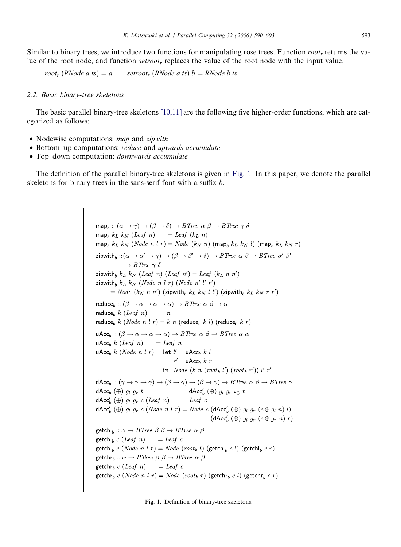Similar to binary trees, we introduce two functions for manipulating rose trees. Function  $root$ , returns the value of the root node, and function  $setroot_r$  replaces the value of the root node with the input value.

root<sub>r</sub>  $(RNode \, a \, ts) = a$  setroot<sub>r</sub>  $(RNode \, a \, ts) \, b = RNode \, b \, ts$ 

## 2.2. Basic binary-tree skeletons

The basic parallel binary-tree skeletons [\[10,11\]](#page-13-0) are the following five higher-order functions, which are categorized as follows:

- Nodewise computations: *map* and *zipwith*
- Bottom–up computations: *reduce* and *upwards accumulate*
- Top–down computation: *downwards accumulate*

The definition of the parallel binary-tree skeletons is given in Fig. 1. In this paper, we denote the parallel skeletons for binary trees in the sans-serif font with a suffix b.

> map<sub>h</sub>::  $(\alpha \rightarrow \gamma) \rightarrow (\beta \rightarrow \delta) \rightarrow B$ Tree  $\alpha \beta \rightarrow B$ Tree  $\gamma \delta$  $\operatorname{map}_b k_L k_N$  (*Leaf n*)  $=$  *Leaf* ( $k_L n$ ) map<sub>h</sub>  $k_L$   $k_N$  (Node n l r) = Node ( $k_N$  n) (map<sub>h</sub>  $k_L$   $k_N$  l) (map<sub>h</sub>  $k_L$   $k_N$  r) zipwith<sub>b</sub>:: $(\alpha \to \alpha' \to \gamma) \to (\beta \to \beta' \to \delta) \to B$ Tree  $\alpha \beta \to B$ Tree  $\alpha' \beta'$  $\rightarrow$  BTree  $\gamma \delta$ zipwith<sub>b</sub>  $k_L$   $k_N$  (Leaf n) (Leaf n') = Leaf ( $k_L$  n n') zipwith<sub>b</sub>  $k_L$   $k_N$  (*Node n l r*) (*Node n' l' r'*) = Node  $(k_N n n')$  (zipwith<sub>b</sub>  $k_L k_N l l'$ ) (zipwith<sub>b</sub>  $k_L k_N r r'$ ) reduce<sub>b</sub>::  $(\beta \rightarrow \alpha \rightarrow \alpha \rightarrow \alpha) \rightarrow B$ *Tree*  $\alpha \beta \rightarrow \alpha$ reduce<sub>b</sub>  $k$  (*Leaf n*) =  $n$ reduce<sub>b</sub> k (*Node n l r*) = k n (reduce<sub>b</sub> k l) (reduce<sub>b</sub> k r)  $\mathsf{uAcc}_b : (\beta \to \alpha \to \alpha \to \alpha) \to B$ Tree  $\alpha \beta \to B$ Tree  $\alpha \alpha$ uAcc<sub>h</sub>  $k$  (*Leaf n*)  $=$  Leaf n uAcc<sub>b</sub> k (*Node n l r*) = let  $l'$  = uAcc<sub>b</sub> k l  $r' = uAcc_h k r$ in *Node*  $(k n (root<sub>b</sub> l')(root<sub>b</sub> r')) l' r'$  $\text{dAcc}_b : (\gamma \to \gamma \to \gamma) \to (\beta \to \gamma) \to (\beta \to \gamma) \to B \text{Tree } \alpha \beta \to B \text{Tree } \gamma$  $=$  dAcc<sub>h</sub>  $(\oplus)$   $g_l$   $g_r$   $\iota_{\oplus}$  t dAcc<sub>b</sub> ( $\oplus$ )  $g_l$   $g_r$  t  $dAcc'_{b} (\oplus) g_{l} g_{r} c (Leaf n) =Leaf c$  $dAcc'_{b}(\oplus)$   $g_l$   $g_r$  c (Node n l r) = Node c (dAcc'<sub>b</sub>  $(\oplus)$   $g_l$   $g_r$   $(c \oplus g_l$  n) l)  $(dAcc'_{b}(\oplus) g_l g_r (c \oplus g_r n) r)$  $\text{getchl}_b :: \alpha \rightarrow BTree \beta \beta \rightarrow BTree \alpha \beta$  $getchl<sub>b</sub> c (Leaf n)$  $=$  Leaf c getchl<sub>b</sub> c (*Node n l r*) = *Node* (*root*<sub>b</sub> l) (getchl<sub>b</sub> c l) (getchl<sub>b</sub> c r)  $\text{getchr}_b :: \alpha \rightarrow BTree \beta \beta \rightarrow BTree \alpha \beta$  $\text{getchr}_b c (Leaf\ n) = leaf\ c$ getchr<sub>b</sub> c (*Node n l r*) = *Node* (*root*<sub>b</sub> r) (getchr<sub>b</sub> c l) (getchr<sub>b</sub> c r)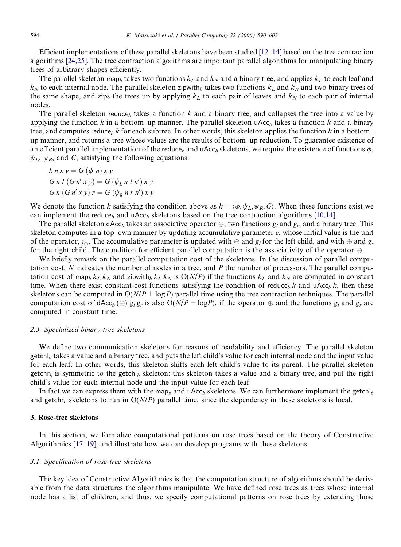<span id="page-4-0"></span>Efficient implementations of these parallel skeletons have been studied [\[12–14\]](#page-13-0) based on the tree contraction algorithms [\[24,25\].](#page-13-0) The tree contraction algorithms are important parallel algorithms for manipulating binary trees of arbitrary shapes efficiently.

The parallel skeleton map<sub>b</sub> takes two functions  $k<sub>L</sub>$  and  $k<sub>N</sub>$  and a binary tree, and applies  $k<sub>L</sub>$  to each leaf and  $k_N$  to each internal node. The parallel skeleton zipwith<sub>b</sub> takes two functions  $k_L$  and  $k_N$  and two binary trees of the same shape, and zips the trees up by applying  $k<sub>L</sub>$  to each pair of leaves and  $k<sub>N</sub>$  to each pair of internal nodes.

The parallel skeleton reduce<sub>b</sub> takes a function k and a binary tree, and collapses the tree into a value by applying the function k in a bottom–up manner. The parallel skeleton uAcc<sub>h</sub> takes a function k and a binary tree, and computes reduce<sub>b</sub> k for each subtree. In other words, this skeleton applies the function k in a bottom– up manner, and returns a tree whose values are the results of bottom–up reduction. To guarantee existence of an efficient parallel implementation of the reduce, and uAcc, skeletons, we require the existence of functions  $\phi$ ,  $\psi_L$ ,  $\psi_R$ , and G, satisfying the following equations:

$$
k n x y = G (\phi n) x y
$$
  
\n
$$
G n l (G n' x y) = G (\psi_L n l n') x y
$$
  
\n
$$
G n (G n' x y) r = G (\psi_R n r n') x y
$$

We denote the function k satisfying the condition above as  $k = \langle \phi, \psi_L, \psi_R, G \rangle$ . When these functions exist we can implement the reduce<sub>b</sub> and uAcc<sub>b</sub> skeletons based on the tree contraction algorithms [\[10,14\].](#page-13-0)

The parallel skeleton dAcc<sub>b</sub> takes an associative operator  $\oplus$ , two functions  $g_l$  and  $g_r$ , and a binary tree. This skeleton computes in a top–own manner by updating accumulative parameter  $c$ , whose initial value is the unit of the operator,  $u_{\oplus}$ . The accumulative parameter is updated with  $\oplus$  and  $g_l$  for the left child, and with  $\oplus$  and  $g_l$ for the right child. The condition for efficient parallel computation is the associativity of the operator  $\oplus$ .

We briefly remark on the parallel computation cost of the skeletons. In the discussion of parallel computation cost, N indicates the number of nodes in a tree, and P the number of processors. The parallel computation cost of map<sub>b</sub> k<sub>L</sub> k<sub>N</sub> and zipwith<sub>b</sub> k<sub>L</sub> k<sub>N</sub> is  $O(N/P)$  if the functions k<sub>L</sub> and k<sub>N</sub> are computed in constant time. When there exist constant-cost functions satisfying the condition of reduce<sub>b</sub> k and uAcc<sub>b</sub> k, then these skeletons can be computed in  $O(N/P + \log P)$  parallel time using the tree contraction techniques. The parallel computation cost of dAcc<sub>b</sub> ( $\oplus$ )  $g_l g_r$  is also O(N/P + logP), if the operator  $\oplus$  and the functions  $g_l$  and  $g_r$  are computed in constant time.

#### 2.3. Specialized binary-tree skeletons

We define two communication skeletons for reasons of readability and efficiency. The parallel skeleton  $\text{getch}|_b$  takes a value and a binary tree, and puts the left child's value for each internal node and the input value for each leaf. In other words, this skeleton shifts each left child's value to its parent. The parallel skeleton getchr<sub>b</sub> is symmetric to the getchl<sub>b</sub> skeleton: this skeleton takes a value and a binary tree, and put the right child's value for each internal node and the input value for each leaf.

In fact we can express them with the map<sub>b</sub> and uAcc<sub>b</sub> skeletons. We can furthermore implement the getchl<sub>b</sub> and getchr<sub>b</sub> skeletons to run in  $O(N/P)$  parallel time, since the dependency in these skeletons is local.

## 3. Rose-tree skeletons

In this section, we formalize computational patterns on rose trees based on the theory of Constructive Algorithmics [\[17–19\]](#page-13-0), and illustrate how we can develop programs with these skeletons.

## 3.1. Specification of rose-tree skeletons

The key idea of Constructive Algorithmics is that the computation structure of algorithms should be derivable from the data structures the algorithms manipulate. We have defined rose trees as trees whose internal node has a list of children, and thus, we specify computational patterns on rose trees by extending those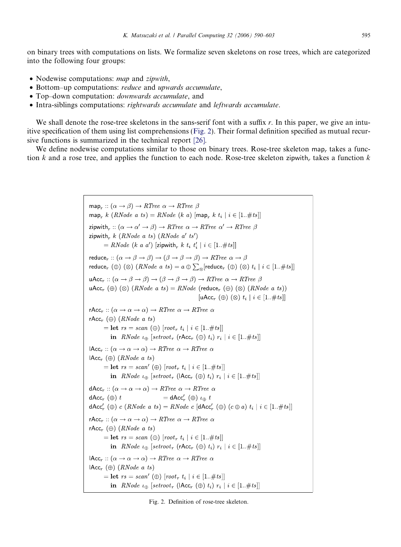<span id="page-5-0"></span>on binary trees with computations on lists. We formalize seven skeletons on rose trees, which are categorized into the following four groups:

- Nodewise computations: *map* and *zipwith*,
- Bottom–up computations: reduce and upwards accumulate,
- Top–down computation: *downwards accumulate*, and
- Intra-siblings computations: rightwards accumulate and leftwards accumulate.

We shall denote the rose-tree skeletons in the sans-serif font with a suffix  $r$ . In this paper, we give an intuitive specification of them using list comprehensions (Fig. 2). Their formal definition specified as mutual recursive functions is summarized in the technical report [\[26\]](#page-13-0).

We define nodewise computations similar to those on binary trees. Rose-tree skeleton map, takes a function k and a rose tree, and applies the function to each node. Rose-tree skeleton zipwith, takes a function  $k$ 

> map<sub>r</sub> ::  $(\alpha \rightarrow \beta) \rightarrow RTree \alpha \rightarrow RTree \beta$ map<sub>r</sub> k (RNode a ts) = RNode (k a) [map<sub>r</sub> k t<sub>i</sub> | i  $\in$  [1..#ts]] zipwith, ::  $(\alpha \to \alpha' \to \beta) \to RTree \alpha \to RTree \alpha' \to RTree \beta$ zipwith, k (RNode a ts) (RNode a' ts') = RNode (k a a') [zipwith, k t<sub>i</sub> t'<sub>i</sub> | i  $\in$  [1..#ts]] reduce<sub>r</sub>::  $(\alpha \to \beta \to \beta) \to (\beta \to \beta \to \beta) \to RTree \alpha \to \beta$ reduce<sub>r</sub> ( $\oplus$ ) ( $\otimes$ ) (*RNode a ts*) =  $a \oplus \sum_{\otimes}$  [reduce<sub>r</sub> ( $\oplus$ ) ( $\otimes$ )  $t_i | i \in [1.. \# t s]$ ]  $\mathsf{uAcc}_r :: (\alpha \to \beta \to \beta) \to (\beta \to \beta \to \beta) \to RTree \alpha \to RTree \beta$  $\mu Acc_r (\oplus) (\otimes) (RNode \; a \; ts) = RNode$  (reduce<sub>r</sub>  $(\oplus) (\otimes) (RNode \; a \; ts))$  $\lceil \mathsf{uAcc}_r(\oplus) (\otimes) t_i \rceil$   $i \in [1..\#ts]$ rAcc<sub>r</sub>::  $(\alpha \rightarrow \alpha \rightarrow \alpha) \rightarrow RTree \alpha \rightarrow RTree \alpha$ rAcc<sub>r</sub> ( $\oplus$ ) (*RNode a ts*) = **let**  $rs = scan (\oplus)$   $(root_r t_i | i \in [1..#ts])$ in RNode  $\iota_{\oplus}$  [setroot<sub>r</sub> (rAcc<sub>r</sub> ( $\oplus$ )  $t_i$ )  $r_i$  |  $i \in [1..\#ts]]$  $\mathsf{HAcc}_r :: (\alpha \to \alpha \to \alpha) \to RTree \ \alpha \to RTree \ \alpha$  $\mathsf{HAcc}_r \left( \oplus \right)$  (*RNode a ts*) = let  $rs = scan'$  ( $\oplus$ )  $\lceil root_r t_i \rceil$   $i \in [1..\#ts]$ in RNode  $\iota_{\oplus}$  [setroot<sub>r</sub> ( $\mathsf{IAcc}_r$  ( $\oplus$ )  $t_i$ )  $r_i | i \in [1..\#ts]$ ]  $dAcc_r :: (\alpha \rightarrow \alpha \rightarrow \alpha) \rightarrow RTree \alpha \rightarrow RTree \alpha$ =  $dAcc'_{r}(\oplus) \iota_{\oplus} t$  $dAcc_r$  ( $\oplus$ ) t  $\mathsf{dAcc}'_r(\oplus) c (RNode a ts) = RNode c [\mathsf{dAcc}'_r(\oplus) (c \oplus a) t_i | i \in [1..#ts]]$ rAcc<sub>r</sub>::  $(\alpha \rightarrow \alpha \rightarrow \alpha) \rightarrow RTree \alpha \rightarrow RTree \alpha$ rAcc<sub>r</sub> ( $\oplus$ ) (*RNode a ts*)  $=$  let  $rs = scan (\oplus)$   $\lceil root_r t_i \rceil$   $i \in [1..#ts]$ in RNode  $\iota_{\oplus}$  [setroot<sub>r</sub> (rAcc<sub>r</sub> ( $\oplus$ )  $t_i$ )  $r_i$  |  $i \in [1..\#ts]]$  $\text{HAcc}_r : (\alpha \to \alpha \to \alpha) \to RTree \alpha \to RTree \alpha$  $\mathsf{IAcc}_r \; (\oplus) \; (RNode\; a \; ts)$ = let  $rs = scan'$  ( $\oplus$ ) [root<sub>r</sub>  $t_i | i \in [1..\#ts]$ ] in RNode  $\iota_{\oplus}$  [setroot<sub>r</sub> (IAcc<sub>r</sub> ( $\oplus$ )  $t_i$ )  $r_i$  |  $i \in [1..\#ts]]$

Fig. 2. Definition of rose-tree skeleton.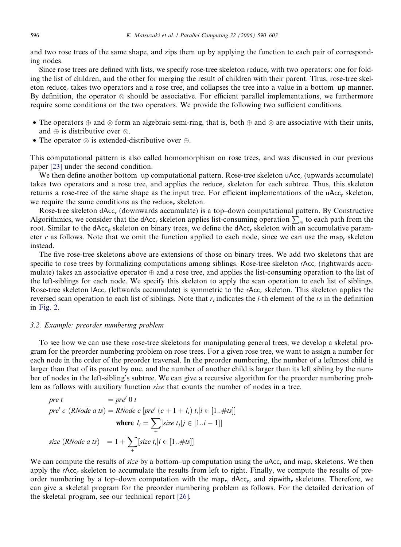and two rose trees of the same shape, and zips them up by applying the function to each pair of corresponding nodes.

Since rose trees are defined with lists, we specify rose-tree skeleton reduce, with two operators: one for folding the list of children, and the other for merging the result of children with their parent. Thus, rose-tree skeleton reduce, takes two operators and a rose tree, and collapses the tree into a value in a bottom–up manner. By definition, the operator  $\otimes$  should be associative. For efficient parallel implementations, we furthermore require some conditions on the two operators. We provide the following two sufficient conditions.

- The operators  $\oplus$  and  $\otimes$  form an algebraic semi-ring, that is, both  $\oplus$  and  $\otimes$  are associative with their units, and  $\oplus$  is distributive over  $\otimes$ .
- The operator  $\otimes$  is extended-distributive over  $\oplus$ .

This computational pattern is also called homomorphism on rose trees, and was discussed in our previous paper [\[23\]](#page-13-0) under the second condition.

We then define another bottom–up computational pattern. Rose-tree skeleton uAcc, (upwards accumulate) takes two operators and a rose tree, and applies the reduce, skeleton for each subtree. Thus, this skeleton returns a rose-tree of the same shape as the input tree. For efficient implementations of the uAcc<sub>r</sub> skeleton, we require the same conditions as the reduce, skeleton.

Rose-tree skeleton dAcc<sub>r</sub> (downwards accumulate) is a top–down computational pattern. By Constructive Algorithmics, we consider that the  $\text{Acc}_r$  skeleton applies list-consuming operation  $\sum_{\oplus}$  to each path from the root. Similar to the dAcc<sub>b</sub> skeleton on binary trees, we define the dAcc<sub>r</sub> skeleton with an accumulative parameter c as follows. Note that we omit the function applied to each node, since we can use the map<sub>r</sub> skeleton instead.

The five rose-tree skeletons above are extensions of those on binary trees. We add two skeletons that are specific to rose trees by formalizing computations among siblings. Rose-tree skeleton rAcc<sub>r</sub> (rightwards accumulate) takes an associative operator  $\oplus$  and a rose tree, and applies the list-consuming operation to the list of the left-siblings for each node. We specify this skeleton to apply the scan operation to each list of siblings. Rose-tree skeleton lAcc<sub>r</sub> (leftwards accumulate) is symmetric to the rAcc<sub>r</sub> skeleton. This skeleton applies the reversed scan operation to each list of siblings. Note that  $r_i$  indicates the *i*-th element of the rs in the definition in [Fig. 2](#page-5-0).

# 3.2. Example: preorder numbering problem

To see how we can use these rose-tree skeletons for manipulating general trees, we develop a skeletal program for the preorder numbering problem on rose trees. For a given rose tree, we want to assign a number for each node in the order of the preorder traversal. In the preorder numbering, the number of a leftmost child is larger than that of its parent by one, and the number of another child is larger than its left sibling by the number of nodes in the left-sibling's subtree. We can give a recursive algorithm for the preorder numbering problem as follows with auxiliary function size that counts the number of nodes in a tree.

$$
pre \ t = pre' \ 0 \ t
$$
\n
$$
pre' \ c \ (RNode a ts) = RNode c \ [pre' \ (c + 1 + l_i) \ t_i | i \in [1..#ts]]
$$
\n
$$
\text{where } l_i = \sum_{+} [size \ t_j | j \in [1..i-1]]
$$
\n
$$
size \ (RNode a ts) = 1 + \sum_{+} [size \ t_i | i \in [1..#ts]]
$$

We can compute the results of *size* by a bottom–up computation using the  $\mu$ Acc<sub>r</sub> and map<sub>r</sub> skeletons. We then apply the rAcc<sub>r</sub> skeleton to accumulate the results from left to right. Finally, we compute the results of preorder numbering by a top–down computation with the map<sub>r</sub>,  $dAcc_r$ , and zipwith<sub>r</sub> skeletons. Therefore, we can give a skeletal program for the preorder numbering problem as follows. For the detailed derivation of the skeletal program, see our technical report [\[26\]](#page-13-0).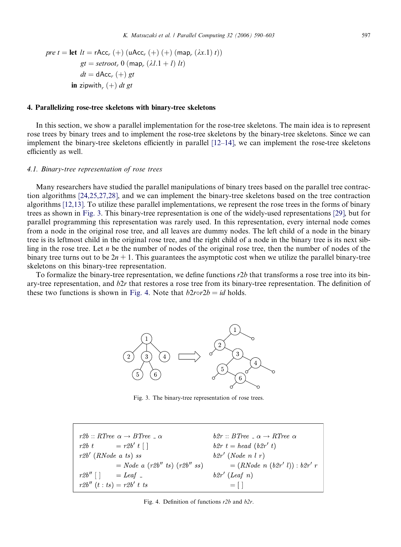<span id="page-7-0"></span>
$$
pre \ t = \text{let } \ lt = rAcc_r (+) (uAcc_r (+) (+) (map_r (\lambda x.1) t))
$$
  

$$
gt = setroot_r 0 (map_r (\lambda l.1 + l) lt)
$$
  

$$
dt = dAcc_r (+) gt
$$
  
**in** zipwith<sub>r</sub> (+) dt gt

## 4. Parallelizing rose-tree skeletons with binary-tree skeletons

In this section, we show a parallel implementation for the rose-tree skeletons. The main idea is to represent rose trees by binary trees and to implement the rose-tree skeletons by the binary-tree skeletons. Since we can implement the binary-tree skeletons efficiently in parallel [\[12–14\],](#page-13-0) we can implement the rose-tree skeletons efficiently as well.

#### 4.1. Binary-tree representation of rose trees

Many researchers have studied the parallel manipulations of binary trees based on the parallel tree contraction algorithms [\[24,25,27,28\],](#page-13-0) and we can implement the binary-tree skeletons based on the tree contraction algorithms [\[12,13\]](#page-13-0). To utilize these parallel implementations, we represent the rose trees in the forms of binary trees as shown in Fig. 3. This binary-tree representation is one of the widely-used representations [\[29\],](#page-13-0) but for parallel programming this representation was rarely used. In this representation, every internal node comes from a node in the original rose tree, and all leaves are dummy nodes. The left child of a node in the binary tree is its leftmost child in the original rose tree, and the right child of a node in the binary tree is its next sibling in the rose tree. Let  $n$  be the number of nodes of the original rose tree, then the number of nodes of the binary tree turns out to be  $2n + 1$ . This guarantees the asymptotic cost when we utilize the parallel binary-tree skeletons on this binary-tree representation.

To formalize the binary-tree representation, we define functions r2b that transforms a rose tree into its binary-tree representation, and  $b2r$  that restores a rose tree from its binary-tree representation. The definition of these two functions is shown in Fig. 4. Note that  $b2r\sigma/2b = id$  holds.



Fig. 3. The binary-tree representation of rose trees.

 $r2b :: RTree \alpha \rightarrow BTree \dots \alpha$  $b2r :: BTree \_\alpha \rightarrow RTree \alpha$  $r2b$  t =  $r2b'$  t [ ]  $b2r t = head (b2r' t)$  $r2b'$  (RNode a ts) ss  $b2r'$  (Node n l r)  $= Node \ a \ (r2b'' \ ts) \ (r2b'' \ ss)$  $=(RNode~n~(b2r'~l))$ :  $b2r'~r$  $r2b''$  []  $=$  Leaf  $=$  $b2r'$  (Leaf n)  $r2b''(t:ts) = r2b' t$  $= \lceil \rceil$ 

Fig. 4. Definition of functions r2b and b2r.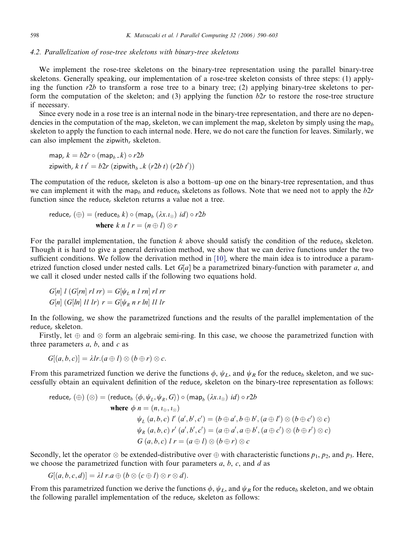#### 4.2. Parallelization of rose-tree skeletons with binary-tree skeletons

We implement the rose-tree skeletons on the binary-tree representation using the parallel binary-tree skeletons. Generally speaking, our implementation of a rose-tree skeleton consists of three steps: (1) applying the function  $r2b$  to transform a rose tree to a binary tree; (2) applying binary-tree skeletons to perform the computation of the skeleton; and (3) applying the function  $b2r$  to restore the rose-tree structure if necessary.

Since every node in a rose tree is an internal node in the binary-tree representation, and there are no dependencies in the computation of the map<sub>r</sub> skeleton, we can implement the map<sub>r</sub> skeleton by simply using the map<sub>h</sub> skeleton to apply the function to each internal node. Here, we do not care the function for leaves. Similarly, we can also implement the zipwith, skeleton.

map.  $k = b2r \circ (mab_+k) \circ r2b$ zipwith,  $k \, t \, t' = b2r$  (zipwith<sub>b-</sub> $k \, (r2b \, t) \, (r2b \, t'))$ 

The computation of the reduce, skeleton is also a bottom–up one on the binary-tree representation, and thus we can implement it with the map<sub>b</sub> and reduce<sub>b</sub> skeletons as follows. Note that we need not to apply the  $b2r$ function since the reduce, skeleton returns a value not a tree.

reduce, 
$$
(\oplus)
$$
 = (reduce<sub>b</sub> k) o (map<sub>b</sub> ( $\lambda x . \iota_{\otimes}$ ) id) o r2b  
where k n l r = (n  $\oplus$  l)  $\otimes$  r

For the parallel implementation, the function k above should satisfy the condition of the reduce<sub>h</sub> skeleton. Though it is hard to give a general derivation method, we show that we can derive functions under the two sufficient conditions. We follow the derivation method in [\[10\]](#page-13-0), where the main idea is to introduce a parametrized function closed under nested calls. Let  $G[a]$  be a parametrized binary-function with parameter a, and we call it closed under nested calls if the following two equations hold.

$$
G[n] l (G[rn] rl rr) = G[\psi_L n l rn] rl rr
$$
  

$$
G[n] (G[ln] ll l r) = G[\psi_R n r ln] ll l r
$$

In the following, we show the parametrized functions and the results of the parallel implementation of the reduce, skeleton.

Firstly, let  $\oplus$  and  $\otimes$  form an algebraic semi-ring. In this case, we choose the parametrized function with three parameters  $a, b$ , and  $c$  as

 $G[(a, b, c)] = \lambda lr.(a \oplus l) \otimes (b \oplus r) \otimes c.$ 

From this parametrized function we derive the functions  $\phi$ ,  $\psi_L$ , and  $\psi_R$  for the reduce<sub>b</sub> skeleton, and we successfully obtain an equivalent definition of the reduce, skeleton on the binary-tree representation as follows:

reduce, 
$$
(\oplus)
$$
  $(\otimes)$  = (reduce<sub>b</sub>  $\langle \phi, \psi_L, \psi_R, G \rangle)$  o  $(\text{map}_b (\lambda x.1_{\otimes}) \text{ id})$  o  $r2b$   
\nwhere  $\phi$   $n = (n, 1_{\oplus}, 1_{\otimes})$   
\n $\psi_L$   $(a, b, c)$   $l'(a', b', c') = (b \oplus a', b \oplus b', (a \oplus l') \otimes (b \oplus c') \otimes c)$   
\n $\psi_R$   $(a, b, c)$   $l'(a', b', c') = (a \oplus a', a \oplus b', (a \oplus c') \otimes (b \oplus r') \otimes c)$   
\n $G(a, b, c)$   $l'(a \oplus l) \otimes (b \oplus r) \otimes c$ 

Secondly, let the operator  $\otimes$  be extended-distributive over  $\oplus$  with characteristic functions  $p_1$ ,  $p_2$ , and  $p_3$ . Here, we choose the parametrized function with four parameters  $a, b, c$ , and  $d$  as

$$
G[(a, b, c, d)] = \lambda l r.a \oplus (b \otimes (c \oplus l) \otimes r \otimes d).
$$

From this parametrized function we derive the functions  $\phi$ ,  $\psi_L$ , and  $\psi_R$  for the reduce<sub>b</sub> skeleton, and we obtain the following parallel implementation of the reduce, skeleton as follows: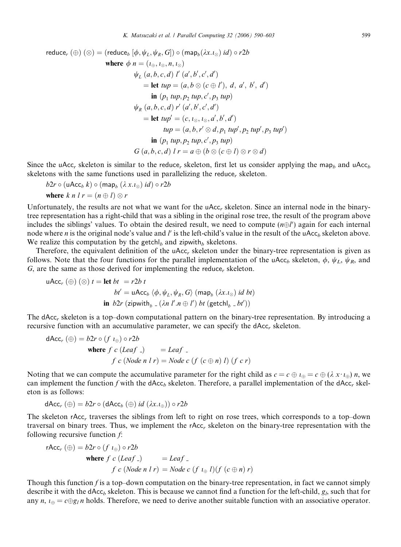reduce<sub>r</sub> (
$$
\oplus
$$
) ( $\otimes$ ) = (reduce<sub>b</sub> [ $\phi$ ,  $\psi_L$ ,  $\psi_R$ ,  $G$ ])  $\circ$  (map<sub>b</sub>( $\lambda x . t_{\otimes}$ ) *id*)  $\circ$  r2b  
\nwhere  $\phi$  n = ( $t_{\oplus}$ ,  $t_{\otimes}$ , n,  $t_{\otimes}$ )  
\n $\psi_L$  ( $a, b, c, d$ )  $l'$  ( $a', b', c', d'$ )  
\n= let  $tup = (a, b \otimes (c \oplus l'), d, a', b', d')$   
\nin ( $p_1$   $tup$ ,  $p_2$   $tup$ ,  $c', p_3$   $tup$ )  
\n $\psi_R$  ( $a, b, c, d$ )  $r'$  ( $a', b', c', d'$ )  
\n= let  $tup' = (c, t_{\otimes}, t_{\otimes}, d', b', d')$   
\n $tup = (a, b, r' \otimes d, p_1$   $tup', p_2$   $tup', p_3$   $tup'$ )  
\nin ( $p_1$   $tup$ ,  $p_2$   $tup$ ,  $c', p_3$   $tup$ )  
\n $G$  ( $a, b, c, d$ )  $l$   $r = a \oplus (b \otimes (c \oplus l) \otimes r \otimes d)$ 

Since the uAcc<sub>r</sub> skeleton is similar to the reduce<sub>r</sub> skeleton, first let us consider applying the map<sub>b</sub> and uAcc<sub>h</sub> skeletons with the same functions used in parallelizing the reduce, skeleton.

 $b2r \circ (uAcc_b k) \circ (map_b (\lambda x.i_{\otimes}) id) \circ r2b$ where  $k \, n \, l \, r = (n \oplus l) \otimes r$ 

Unfortunately, the results are not what we want for the uAcc, skeleton. Since an internal node in the binarytree representation has a right-child that was a sibling in the original rose tree, the result of the program above includes the siblings' values. To obtain the desired result, we need to compute  $(n \oplus l')$  again for each internal node where *n* is the original node's value and  $l'$  is the left-child's value in the result of the uAcc<sub>b</sub> skeleton above. We realize this computation by the getchl<sub>b</sub> and zipwith<sub>b</sub> skeletons.

Therefore, the equivalent definition of the uAcc, skeleton under the binary-tree representation is given as follows. Note that the four functions for the parallel implementation of the uAcc<sub>b</sub> skeleton,  $\phi$ ,  $\psi_L$ ,  $\psi_R$ , and G, are the same as those derived for implementing the reduce, skeleton.

$$
\mathsf{uAcc}_r(\oplus)(\otimes) t = \mathsf{let} \ bt = r2b \ t
$$
\n
$$
bt' = \mathsf{uAcc}_b \ \langle \phi, \psi_L, \psi_R, G \rangle \ (\mathsf{map}_b \ (\lambda x.1_{\otimes}) \ id \ bt)
$$
\n
$$
\mathsf{in} \ b2r \ (\mathsf{zipwith}_b = (\lambda n \ l' \ n \oplus l') \ bt \ (\mathsf{getch}|_b = bt'))
$$

The dAcc<sub>r</sub> skeleton is a top–down computational pattern on the binary-tree representation. By introducing a recursive function with an accumulative parameter, we can specify the  $dAcc_r$  skeleton.

$$
dAcc_r(\bigoplus) = b2r \circ (f \iota_{\bigoplus}) \circ r2b
$$
  
where  $f c$  (Leaf  $\_$ ) = leaf  $\_$   
 $f c$  (Node  $n \mid r$ ) = Node  $c$  (f  $(c \oplus n) \ l$ ) (f  $c$  r)

Noting that we can compute the accumulative parameter for the right child as  $c = c \oplus l_{\oplus} = c \oplus (\lambda x \cdot l_{\oplus}) n$ , we can implement the function f with the dAcc<sub>b</sub> skeleton. Therefore, a parallel implementation of the dAcc<sub>r</sub> skeleton is as follows:

$$
\mathsf{dAcc}_r(\oplus) = b2r \circ (\mathsf{dAcc}_b(\oplus) \text{ id } (\lambda x.\iota_{\oplus})) \circ r2b
$$

The skeleton rAcc, traverses the siblings from left to right on rose trees, which corresponds to a top-down traversal on binary trees. Thus, we implement the rAcc<sub>r</sub> skeleton on the binary-tree representation with the following recursive function  $f$ :

rAcc<sub>r</sub> (
$$
\oplus
$$
) =  $b2r \circ (f \iota_{\oplus}) \circ r2b$   
\nwhere  $f c$  (Leaf -) = leaf -  
\n $f c$  (Node *n* l  $r$ ) = Node  $c$  (f  $\iota_{\oplus}$  l)(f  $(c \oplus n) r$ )

Though this function  $f$  is a top–down computation on the binary-tree representation, in fact we cannot simply describe it with the dAcc<sub>b</sub> skeleton. This is because we cannot find a function for the left-child,  $g<sub>l</sub>$ , such that for any  $n, \iota_{\oplus} = c \oplus g_l n$  holds. Therefore, we need to derive another suitable function with an associative operator.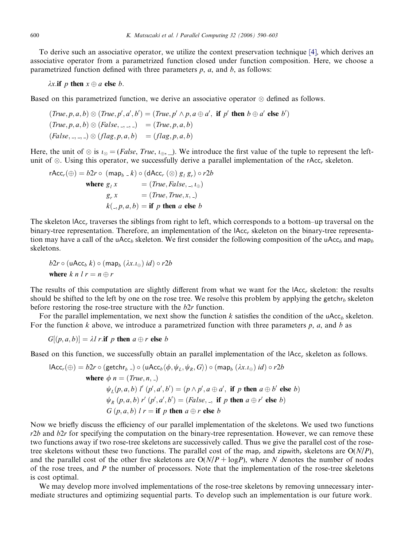To derive such an associative operator, we utilize the context preservation technique [\[4\],](#page-12-0) which derives an associative operator from a parametrized function closed under function composition. Here, we choose a parametrized function defined with three parameters  $p$ ,  $a$ , and  $b$ , as follows:

 $\lambda x$ . if p then  $x \oplus a$  else b.

Based on this parametrized function, we derive an associative operator  $\otimes$  defined as follows.

$$
(True, p, a, b) \otimes (True, p', a', b') = (True, p' \wedge p, a \oplus a', \text{ if } p' \text{ then } b \oplus a' \text{ else } b')
$$
  

$$
(True, p, a, b) \otimes (False, -, -, -) = (True, p, a, b)
$$
  

$$
(False, -, -, -) \otimes (flag, p, a, b) = (flag, p, a, b)
$$

Here, the unit of  $\otimes$  is  $i_{\otimes} = (False, True, i_{\oplus}, \_)$ . We introduce the first value of the tuple to represent the leftunit of  $\otimes$ . Using this operator, we successfully derive a parallel implementation of the rAcc<sub>r</sub> skeleton.

rAcc<sub>r</sub>(
$$
\oplus
$$
) =  $b2r \circ (\text{map}_b - k) \circ (\text{dAcc}_r (\otimes) g_1 g_r) \circ r2b$   
\nwhere  $g_1 x = (True, False, -, i_{\oplus})$   
\n $g_r x = (True, True, x, ...)$   
\n $k(., p, a, b) = \text{if } p \text{ then } a \text{ else } b$ 

The skeleton lAcc, traverses the siblings from right to left, which corresponds to a bottom–up traversal on the binary-tree representation. Therefore, an implementation of the  $|Acc_r$  skeleton on the binary-tree representation may have a call of the uAcc<sub>b</sub> skeleton. We first consider the following composition of the uAcc<sub>b</sub> and map<sub>b</sub> skeletons.

$$
b2r \circ (\mathsf{uAcc}_b k) \circ (\mathsf{map}_b (\lambda x.\mathsf{I}_{\oplus}) id) \circ r2b
$$
  
where  $k \neq n l r = n \oplus r$ 

The results of this computation are slightly different from what we want for the  $|Acc_r$  skeleton: the results should be shifted to the left by one on the rose tree. We resolve this problem by applying the getchr<sub>b</sub> skeleton before restoring the rose-tree structure with the  $b2r$  function.

For the parallel implementation, we next show the function k satisfies the condition of the uAcc<sub>h</sub> skeleton. For the function k above, we introduce a parametrized function with three parameters  $p$ ,  $a$ , and  $b$  as

$$
G[(p, a, b)] = \lambda l r
$$
.**if** p **then**  $a \oplus r$  **else** b

Based on this function, we successfully obtain an parallel implementation of the lAcc, skeleton as follows.

$$
IAcc_r(\oplus) = b2r \circ (\text{getchr}_b \_) \circ (uAcc_b \langle \phi, \psi_L, \psi_R, G \rangle) \circ (map_b (\lambda x. \iota_{\oplus}) id) \circ r2b
$$
\nwhere  $\phi$  n = (True, n, -)

\n
$$
\psi_L(p, a, b) l'(p', a', b') = (p \land p', a \oplus a', \text{ if } p \text{ then } a \oplus b' \text{ else } b)
$$
\n
$$
\psi_R(p, a, b) r'(p', a', b') = (False, \_, \text{ if } p \text{ then } a \oplus r' \text{ else } b)
$$
\n
$$
G(p, a, b) l r = \text{if } p \text{ then } a \oplus r \text{ else } b
$$

Now we briefly discuss the efficiency of our parallel implementation of the skeletons. We used two functions  $r2b$  and  $b2r$  for specifying the computation on the binary-tree representation. However, we can remove these two functions away if two rose-tree skeletons are successively called. Thus we give the parallel cost of the rosetree skeletons without these two functions. The parallel cost of the map<sub>r</sub> and zipwith, skeletons are  $O(N/P)$ , and the parallel cost of the other five skeletons are  $O(N/P + logP)$ , where N denotes the number of nodes of the rose trees, and P the number of processors. Note that the implementation of the rose-tree skeletons is cost optimal.

We may develop more involved implementations of the rose-tree skeletons by removing unnecessary intermediate structures and optimizing sequential parts. To develop such an implementation is our future work.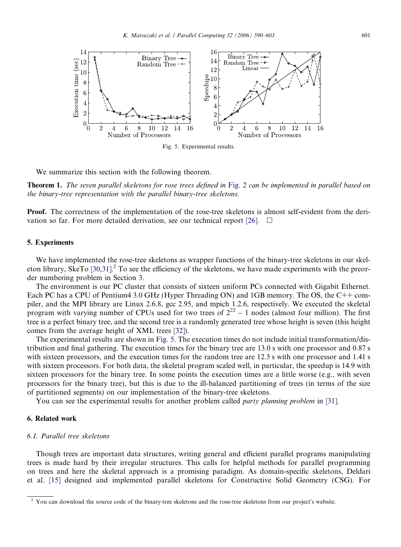<span id="page-11-0"></span>

We summarize this section with the following theorem.

**Theorem 1.** The seven parallel skeletons for rose trees defined in [Fig. 2](#page-5-0) can be implemented in parallel based on the binary-tree representation with the parallel binary-tree skeletons.

Proof. The correctness of the implementation of the rose-tree skeletons is almost self-evident from the deri-vation so far. For more detailed derivation, see our technical report [\[26\]](#page-13-0).  $\Box$ 

## 5. Experiments

We have implemented the rose-tree skeletons as wrapper functions of the binary-tree skeletons in our skel-eton library, SkeTo [\[30,31\]](#page-13-0).<sup>2</sup> To see the efficiency of the skeletons, we have made experiments with the preorder numbering problem in Section [3](#page-4-0).

The environment is our PC cluster that consists of sixteen uniform PCs connected with Gigabit Ethernet. Each PC has a CPU of Pentium4 3.0 GHz (Hyper Threading ON) and 1GB memory. The OS, the C++ compiler, and the MPI library are Linux 2.6.8, gcc 2.95, and mpich 1.2.6, respectively. We executed the skeletal program with varying number of CPUs used for two trees of  $2^{22} - 1$  nodes (almost four million). The first tree is a perfect binary tree, and the second tree is a randomly generated tree whose height is seven (this height comes from the average height of XML trees [\[32\]\)](#page-13-0).

The experimental results are shown in Fig. 5. The execution times do not include initial transformation/distribution and final gathering. The execution times for the binary tree are 13.0 s with one processor and 0.87 s with sixteen processors, and the execution times for the random tree are 12.5 s with one processor and 1.41 s with sixteen processors. For both data, the skeletal program scaled well, in particular, the speedup is 14.9 with sixteen processors for the binary tree. In some points the execution times are a little worse (e.g., with seven processors for the binary tree), but this is due to the ill-balanced partitioning of trees (in terms of the size of partitioned segments) on our implementation of the binary-tree skeletons.

You can see the experimental results for another problem called *party planning problem* in [\[31\].](#page-13-0)

## 6. Related work

# 6.1. Parallel tree skeletons

Though trees are important data structures, writing general and efficient parallel programs manipulating trees is made hard by their irregular structures. This calls for helpful methods for parallel programming on trees and here the skeletal approach is a promising paradigm. As domain-specific skeletons, Deldari et al. [\[15\]](#page-13-0) designed and implemented parallel skeletons for Constructive Solid Geometry (CSG). For

<sup>&</sup>lt;sup>2</sup> You can download the source code of the binary-tree skeletons and the rose-tree skeletons from our project's website.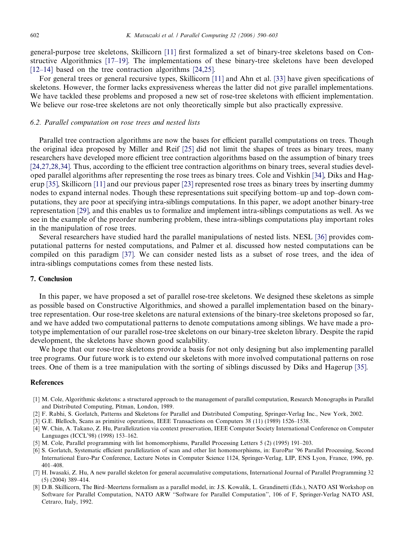<span id="page-12-0"></span>general-purpose tree skeletons, Skillicorn [\[11\]](#page-13-0) first formalized a set of binary-tree skeletons based on Constructive Algorithmics [\[17–19\]](#page-13-0). The implementations of these binary-tree skeletons have been developed [\[12–14\]](#page-13-0) based on the tree contraction algorithms [\[24,25\].](#page-13-0)

For general trees or general recursive types, Skillicorn [\[11\]](#page-13-0) and Ahn et al. [\[33\]](#page-13-0) have given specifications of skeletons. However, the former lacks expressiveness whereas the latter did not give parallel implementations. We have tackled these problems and proposed a new set of rose-tree skeletons with efficient implementation. We believe our rose-tree skeletons are not only theoretically simple but also practically expressive.

## 6.2. Parallel computation on rose trees and nested lists

Parallel tree contraction algorithms are now the bases for efficient parallel computations on trees. Though the original idea proposed by Miller and Reif [\[25\]](#page-13-0) did not limit the shapes of trees as binary trees, many researchers have developed more efficient tree contraction algorithms based on the assumption of binary trees [\[24,27,28,34\].](#page-13-0) Thus, according to the efficient tree contraction algorithms on binary trees, several studies developed parallel algorithms after representing the rose trees as binary trees. Cole and Vishkin [\[34\],](#page-13-0) Diks and Hagerup [\[35\]](#page-13-0), Skillicorn [\[11\]](#page-13-0) and our previous paper [\[23\]](#page-13-0) represented rose trees as binary trees by inserting dummy nodes to expand internal nodes. Though these representations suit specifying bottom–up and top–down computations, they are poor at specifying intra-siblings computations. In this paper, we adopt another binary-tree representation [\[29\]](#page-13-0), and this enables us to formalize and implement intra-siblings computations as well. As we see in the example of the preorder numbering problem, these intra-siblings computations play important roles in the manipulation of rose trees.

Several researchers have studied hard the parallel manipulations of nested lists. NESL [\[36\]](#page-13-0) provides computational patterns for nested computations, and Palmer et al. discussed how nested computations can be compiled on this paradigm [\[37\]](#page-13-0). We can consider nested lists as a subset of rose trees, and the idea of intra-siblings computations comes from these nested lists.

## 7. Conclusion

In this paper, we have proposed a set of parallel rose-tree skeletons. We designed these skeletons as simple as possible based on Constructive Algorithmics, and showed a parallel implementation based on the binarytree representation. Our rose-tree skeletons are natural extensions of the binary-tree skeletons proposed so far, and we have added two computational patterns to denote computations among siblings. We have made a prototype implementation of our parallel rose-tree skeletons on our binary-tree skeleton library. Despite the rapid development, the skeletons have shown good scalability.

We hope that our rose-tree skeletons provide a basis for not only designing but also implementing parallel tree programs. Our future work is to extend our skeletons with more involved computational patterns on rose trees. One of them is a tree manipulation with the sorting of siblings discussed by Diks and Hagerup [\[35\]](#page-13-0).

## **References**

- [1] M. Cole, Algorithmic skeletons: a structured approach to the management of parallel computation, Research Monographs in Parallel and Distributed Computing, Pitman, London, 1989.
- [2] F. Rabhi, S. Gorlatch, Patterns and Skeletons for Parallel and Distributed Computing, Springer-Verlag Inc., New York, 2002.
- [3] G.E. Blelloch, Scans as primitive operations, IEEE Transactions on Computers 38 (11) (1989) 1526–1538.
- [4] W. Chin, A. Takano, Z. Hu, Parallelization via context preservation, IEEE Computer Society International Conference on Computer Languages (ICCL'98) (1998) 153–162.
- [5] M. Cole, Parallel programming with list homomorphisms, Parallel Processing Letters 5 (2) (1995) 191–203.
- [6] S. Gorlatch, Systematic efficient parallelization of scan and other list homomorphisms, in: EuroPar '96 Parallel Processing, Second International Euro-Par Conference, Lecture Notes in Computer Science 1124, Springer-Verlag, LIP, ENS Lyon, France, 1996, pp. 401–408.
- [7] H. Iwasaki, Z. Hu, A new parallel skeleton for general accumulative computations, International Journal of Parallel Programming 32 (5) (2004) 389–414.
- [8] D.B. Skillicorn, The Bird–Meertens formalism as a parallel model, in: J.S. Kowalik, L. Grandinetti (Eds.), NATO ASI Workshop on Software for Parallel Computation, NATO ARW ''Software for Parallel Computation'', 106 of F, Springer-Verlag NATO ASI, Cetraro, Italy, 1992.